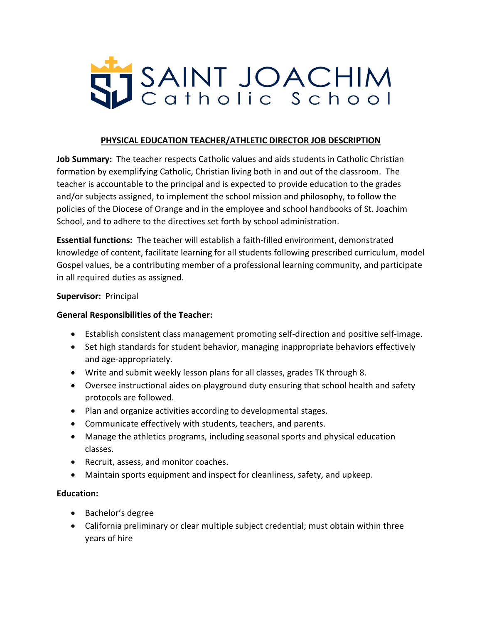

### **PHYSICAL EDUCATION TEACHER/ATHLETIC DIRECTOR JOB DESCRIPTION**

**Job Summary:** The teacher respects Catholic values and aids students in Catholic Christian formation by exemplifying Catholic, Christian living both in and out of the classroom. The teacher is accountable to the principal and is expected to provide education to the grades and/or subjects assigned, to implement the school mission and philosophy, to follow the policies of the Diocese of Orange and in the employee and school handbooks of St. Joachim School, and to adhere to the directives set forth by school administration.

**Essential functions:** The teacher will establish a faith-filled environment, demonstrated knowledge of content, facilitate learning for all students following prescribed curriculum, model Gospel values, be a contributing member of a professional learning community, and participate in all required duties as assigned.

#### **Supervisor:** Principal

#### **General Responsibilities of the Teacher:**

- Establish consistent class management promoting self-direction and positive self-image.
- Set high standards for student behavior, managing inappropriate behaviors effectively and age-appropriately.
- Write and submit weekly lesson plans for all classes, grades TK through 8.
- Oversee instructional aides on playground duty ensuring that school health and safety protocols are followed.
- Plan and organize activities according to developmental stages.
- Communicate effectively with students, teachers, and parents.
- Manage the athletics programs, including seasonal sports and physical education classes.
- Recruit, assess, and monitor coaches.
- Maintain sports equipment and inspect for cleanliness, safety, and upkeep.

#### **Education:**

- Bachelor's degree
- California preliminary or clear multiple subject credential; must obtain within three years of hire